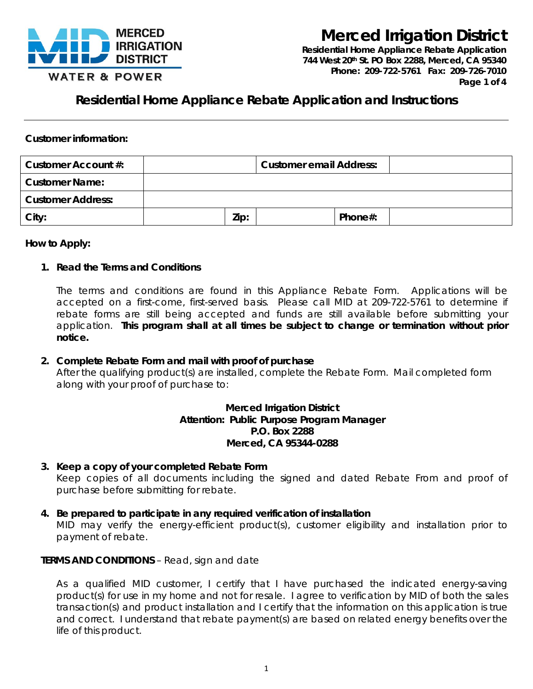

**Residential Home Appliance Rebate Application** *744 West 20th St. PO Box 2288, Merced, CA 95340 Phone: 209-722-5761 Fax: 209-726-7010 Page 1 of 4*

**Residential Home Appliance Rebate Application and Instructions**

### **Customer information:**

| Customer Account #:      | <b>Customer email Address:</b> |  |         |  |
|--------------------------|--------------------------------|--|---------|--|
| <b>Customer Name:</b>    |                                |  |         |  |
| <b>Customer Address:</b> |                                |  |         |  |
| City:                    | Zip:                           |  | Phone#: |  |

#### **How to Apply:**

#### **1. Read the Terms and Conditions**

The terms and conditions are found in this Appliance Rebate Form. Applications will be accepted on a first-come, first-served basis. Please call MID at 209-722-5761 to determine if rebate forms are still being accepted and funds are still available before submitting your application. **This program shall at all times be subject to change or termination without prior notice.**

#### **2. Complete Rebate Form and mail with proof of purchase**

After the qualifying product(s) are installed, complete the Rebate Form. Mail completed form along with your proof of purchase to:

#### **Merced Irrigation District Attention: Public Purpose Program Manager P.O. Box 2288 Merced, CA 95344-0288**

- **3. Keep a copy of your completed Rebate Form** Keep copies of all documents including the signed and dated Rebate From and proof of purchase before submitting for rebate.
- **4. Be prepared to participate in any required verification of installation** MID may verify the energy-efficient product(s), customer eligibility and installation prior to payment of rebate.

#### **TERMS AND CONDITIONS** – Read, sign and date

As a qualified MID customer, I certify that I have purchased the indicated energy-saving product(s) for use in my home and not for resale. I agree to verification by MID of both the sales transaction(s) and product installation and I certify that the information on this application is true and correct. I understand that rebate payment(s) are based on related energy benefits over the life of this product.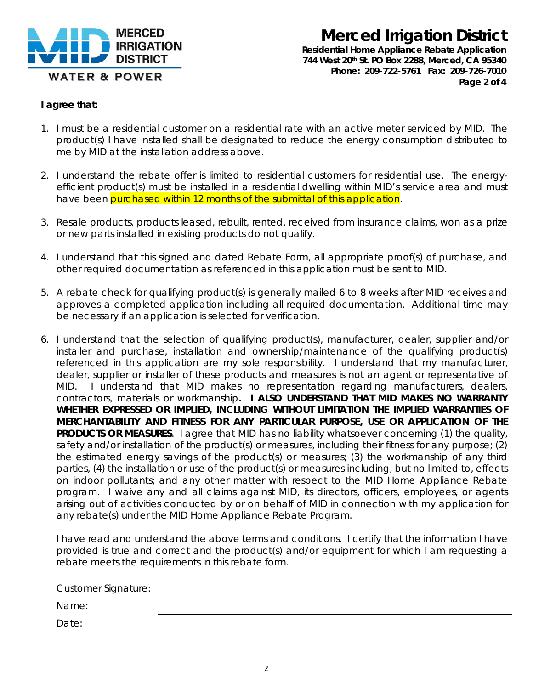

**Residential Home Appliance Rebate Application** *744 West 20th St. PO Box 2288, Merced, CA 95340 Phone: 209-722-5761 Fax: 209-726-7010 Page 2 of 4*

#### **I agree that:**

- 1. I must be a residential customer on a residential rate with an active meter serviced by MID. The product(s) I have installed shall be designated to reduce the energy consumption distributed to me by MID at the installation address above.
- 2. I understand the rebate offer is limited to residential customers for residential use. The energyefficient product(s) must be installed in a residential dwelling within MID's service area and must have been purchased within 12 months of the submittal of this application.
- 3. Resale products, products leased, rebuilt, rented, received from insurance claims, won as a prize or new parts installed in existing products do not qualify.
- 4. I understand that this signed and dated Rebate Form, all appropriate proof(s) of purchase, and other required documentation as referenced in this application must be sent to MID.
- 5. A rebate check for qualifying product(s) is generally mailed 6 to 8 weeks after MID receives and approves a completed application including all required documentation. Additional time may be necessary if an application is selected for verification.
- 6. I understand that the selection of qualifying product(s), manufacturer, dealer, supplier and/or installer and purchase, installation and ownership/maintenance of the qualifying product(s) referenced in this application are my sole responsibility. I understand that my manufacturer, dealer, supplier or installer of these products and measures is not an agent or representative of MID. I understand that MID makes no representation regarding manufacturers, dealers, contractors, materials or workmanship**. I ALSO UNDERSTAND THAT MID MAKES NO WARRANTY WHETHER EXPRESSED OR IMPLIED, INCLUDING WITHOUT LIMITATION THE IMPLIED WARRANTIES OF MERCHANTABILITY AND FITNESS FOR ANY PARTICULAR PURPOSE, USE OR APPLICATION OF THE PRODUCTS OR MEASURES**. I agree that MID has no liability whatsoever concerning (1) the quality, safety and/or installation of the product(s) or measures, including their fitness for any purpose; (2) the estimated energy savings of the product(s) or measures; (3) the workmanship of any third parties, (4) the installation or use of the product(s) or measures including, but no limited to, effects on indoor pollutants; and any other matter with respect to the MID Home Appliance Rebate program. I waive any and all claims against MID, its directors, officers, employees, or agents arising out of activities conducted by or on behalf of MID in connection with my application for any rebate(s) under the MID Home Appliance Rebate Program.

I have read and understand the above terms and conditions. I certify that the information I have provided is true and correct and the product(s) and/or equipment for which I am requesting a rebate meets the requirements in this rebate form.

| <b>Customer Signature:</b> |  |
|----------------------------|--|
| Name:                      |  |
| Date:                      |  |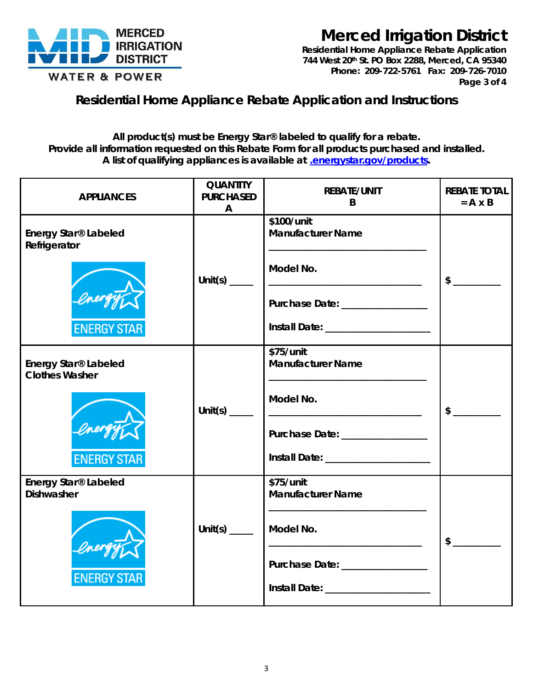

**Residential Home Appliance Rebate Application** *744 West 20th St. PO Box 2288, Merced, CA 95340 Phone: 209-722-5761 Fax: 209-726-7010 Page 3 of 4*

### **Residential Home Appliance Rebate Application and Instructions**

**All product(s) must be Energy Star® labeled to qualify for a rebate. Provide all information requested on this Rebate Form for all products purchased and installed. A list of qualifying appliances is available at [.energystar.gov/products.](http://www.energystar.gov/products)**

| <b>APPLIANCES</b>                             | <b>QUANTITY</b><br><b>PURCHASED</b><br>$\mathsf{A}$                                                 | <b>REBATE/UNIT</b><br>B                                                                                                            | <b>REBATE TOTAL</b><br>$= A \times B$ |
|-----------------------------------------------|-----------------------------------------------------------------------------------------------------|------------------------------------------------------------------------------------------------------------------------------------|---------------------------------------|
| Energy Star® Labeled<br>Refrigerator          |                                                                                                     | \$100/unit<br><b>Manufacturer Name</b>                                                                                             |                                       |
|                                               | Unit(s) $\frac{1}{\sqrt{2}}$                                                                        | Model No.                                                                                                                          | $\sim$                                |
|                                               |                                                                                                     | Purchase Date: _________________                                                                                                   |                                       |
| <b>ENERGY STAR</b>                            |                                                                                                     | Install Date: ____________________                                                                                                 |                                       |
| Energy Star® Labeled<br><b>Clothes Washer</b> |                                                                                                     | \$75/unit<br><b>Manufacturer Name</b>                                                                                              |                                       |
|                                               | Unit(s) $\frac{1}{\sqrt{1-\frac{1}{2}}\sqrt{1-\frac{1}{2}}\sqrt{1-\frac{1}{2}}\sqrt{1-\frac{1}{2}}$ | Model No.                                                                                                                          | \$                                    |
|                                               |                                                                                                     | Purchase Date: ________________                                                                                                    |                                       |
| <b>ENERGY STAR</b>                            |                                                                                                     | Install Date: ____________________                                                                                                 |                                       |
| Energy Star® Labeled<br><b>Dishwasher</b>     |                                                                                                     | \$75/unit<br><b>Manufacturer Name</b><br>the control of the control of the control of the control of the control of the control of |                                       |
|                                               | Unit(s) $\frac{1}{\sqrt{1-\frac{1}{2}}\sqrt{1-\frac{1}{2}}\left(\frac{1}{2}-\frac{1}{2}\right)}$    | Model No.                                                                                                                          | $\mathsf{\$}$                         |
| <b>ENERGY STAR</b>                            |                                                                                                     | Purchase Date: ________________                                                                                                    |                                       |
|                                               |                                                                                                     | Install Date: _____________________                                                                                                |                                       |